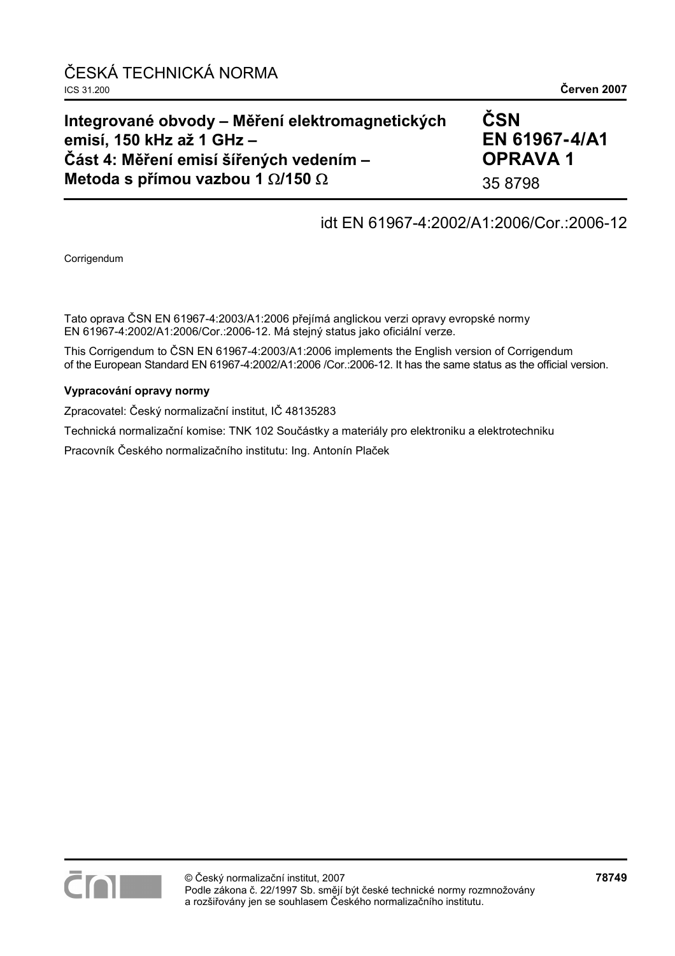## **Integrované obvody – Měření elektromagnetických emisí, 150 kHz až 1 GHz – Část 4: Měření emisí šířených vedením – Metoda s přímou vazbou 1** Ω**/150** Ω

# **ČSN EN 61967- 4/A1 OPRAVA 1**

35 8798

## idt EN 61967-4:2002/A1:2006/Cor.:2006-12

Corrigendum

Tato oprava ČSN EN 61967-4:2003/A1:2006 přejímá anglickou verzi opravy evropské normy EN 61967-4:2002/A1:2006/Cor.:2006-12. Má stejný status jako oficiální verze.

This Corrigendum to ČSN EN 61967-4:2003/A1:2006 implements the English version of Corrigendum of the European Standard EN 61967-4:2002/A1:2006 /Cor.:2006-12. It has the same status as the official version.

#### **Vypracování opravy normy**

Zpracovatel: Český normalizační institut, IČ 48135283

Technická normalizační komise: TNK 102 Součástky a materiály pro elektroniku a elektrotechniku

Pracovník Českého normalizačního institutu: Ing. Antonín Plaček

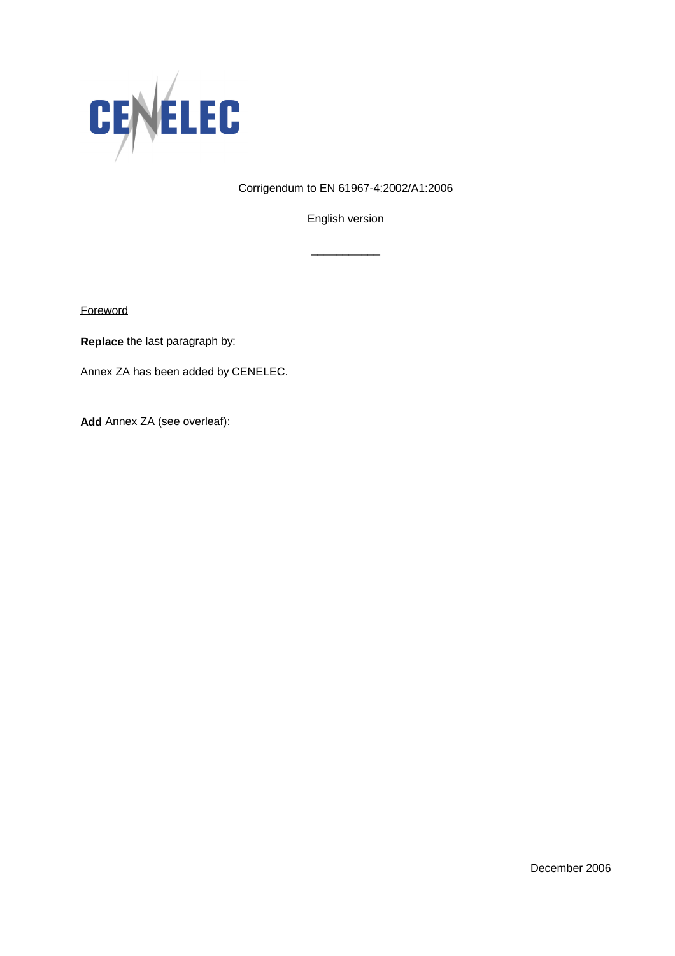

Corrigendum to EN 61967-4:2002/A1:2006

English version

\_\_\_\_\_\_\_\_\_\_\_

**Foreword** 

**Replace** the last paragraph by:

Annex ZA has been added by CENELEC.

**Add** Annex ZA (see overleaf):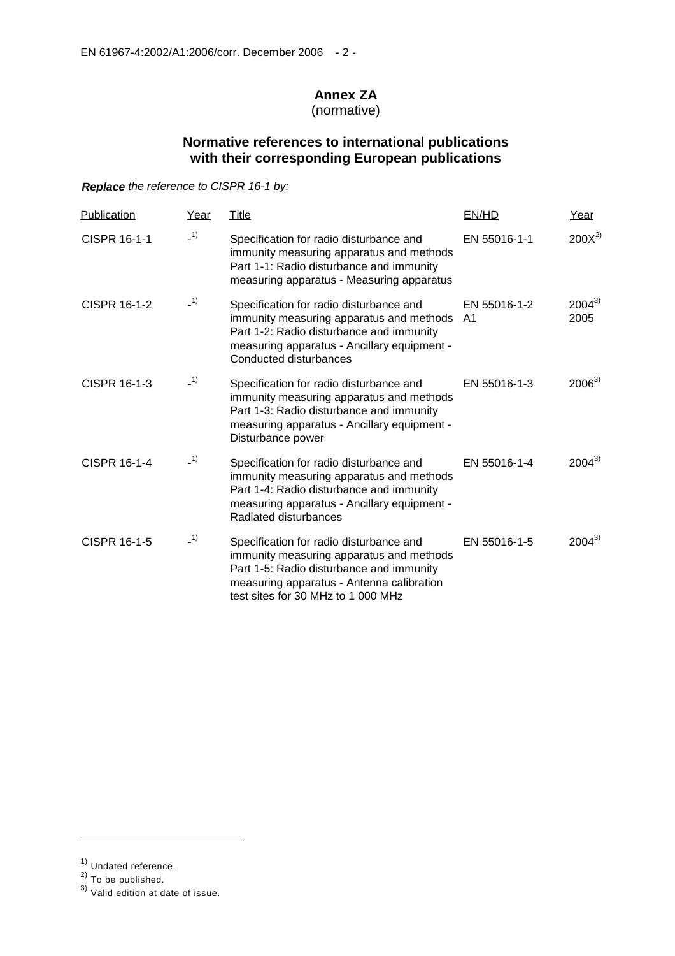## **Annex ZA**

(normative)

### **Normative references to international publications with their corresponding European publications**

*Replace the reference to CISPR 16-1 by:* 

| Publication         | Year  | Title                                                                                                                                                                                                              | EN/HD                          | Year               |
|---------------------|-------|--------------------------------------------------------------------------------------------------------------------------------------------------------------------------------------------------------------------|--------------------------------|--------------------|
| CISPR 16-1-1        | $-1)$ | Specification for radio disturbance and<br>immunity measuring apparatus and methods<br>Part 1-1: Radio disturbance and immunity<br>measuring apparatus - Measuring apparatus                                       | EN 55016-1-1                   | $200X^{2}$         |
| <b>CISPR 16-1-2</b> | $-1)$ | Specification for radio disturbance and<br>immunity measuring apparatus and methods<br>Part 1-2: Radio disturbance and immunity<br>measuring apparatus - Ancillary equipment -<br>Conducted disturbances           | EN 55016-1-2<br>A <sub>1</sub> | $2004^{3}$<br>2005 |
| CISPR 16-1-3        | $-1)$ | Specification for radio disturbance and<br>immunity measuring apparatus and methods<br>Part 1-3: Radio disturbance and immunity<br>measuring apparatus - Ancillary equipment -<br>Disturbance power                | EN 55016-1-3                   | $2006^{3}$         |
| <b>CISPR 16-1-4</b> | (1)   | Specification for radio disturbance and<br>immunity measuring apparatus and methods<br>Part 1-4: Radio disturbance and immunity<br>measuring apparatus - Ancillary equipment -<br>Radiated disturbances            | EN 55016-1-4                   | $2004^{3}$         |
| CISPR 16-1-5        | $-1)$ | Specification for radio disturbance and<br>immunity measuring apparatus and methods<br>Part 1-5: Radio disturbance and immunity<br>measuring apparatus - Antenna calibration<br>test sites for 30 MHz to 1 000 MHz | EN 55016-1-5                   | $2004^{3}$         |

j

<sup>&</sup>lt;sup>1)</sup> Undated reference.

 $^{2)}$  To be published.

 $^{3)}$  Valid edition at date of issue.